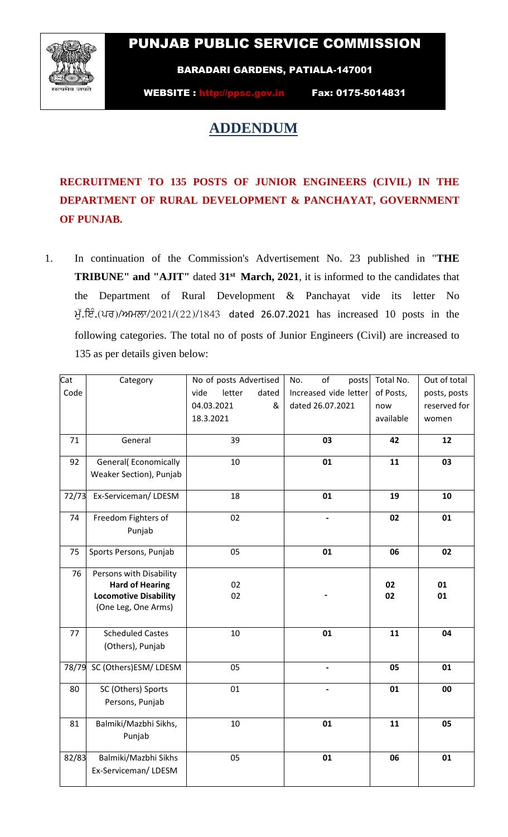## PUNJAB PUBLIC SERVICE COMMISSION



BARADARI GARDENS, PATIALA-147001

WEBSITE : http://ppsc.gov.in Fax: 0175-5014831

## **ADDENDUM**

**RECRUITMENT TO 135 POSTS OF JUNIOR ENGINEERS (CIVIL) IN THE DEPARTMENT OF RURAL DEVELOPMENT & PANCHAYAT, GOVERNMENT OF PUNJAB.**

1. In continuation of the Commission's Advertisement No. 23 published in "**THE TRIBUNE" and "AJIT"** dated **31st March, 2021**, it is informed to the candidates that the Department of Rural Development & Panchayat vide its letter No ਮੁੱ. ਇੰ. (ਪਰ)/ਅਮਲਾ/2021/(22)/1843 dated 26.07.2021 has increased 10 posts in the following categories. The total no of posts of Junior Engineers (Civil) are increased to 135 as per details given below:

| Cat<br>Code | Category                                                                                                 | No of posts Advertised<br>letter<br>vide<br>dated<br>04.03.2021<br>&<br>18.3.2021 | of<br>No.<br>posts<br>Increased vide letter<br>dated 26.07.2021 | Total No.<br>of Posts,<br>now<br>available | Out of total<br>posts, posts<br>reserved for<br>women |
|-------------|----------------------------------------------------------------------------------------------------------|-----------------------------------------------------------------------------------|-----------------------------------------------------------------|--------------------------------------------|-------------------------------------------------------|
| 71          | General                                                                                                  | 39                                                                                | 03                                                              | 42                                         | 12                                                    |
| 92          | <b>General</b> (Economically<br>Weaker Section), Punjab                                                  | 10                                                                                | 01                                                              | 11                                         | 03                                                    |
| 72/73       | Ex-Serviceman/LDESM                                                                                      | 18                                                                                | 01                                                              | 19                                         | 10                                                    |
| 74          | Freedom Fighters of<br>Punjab                                                                            | 02                                                                                | $\overline{\phantom{a}}$                                        | 02                                         | 01                                                    |
| 75          | Sports Persons, Punjab                                                                                   | 05                                                                                | 01                                                              | 06                                         | 02                                                    |
| 76          | Persons with Disability<br><b>Hard of Hearing</b><br><b>Locomotive Disability</b><br>(One Leg, One Arms) | 02<br>02                                                                          |                                                                 | 02<br>02                                   | 01<br>01                                              |
| 77          | <b>Scheduled Castes</b><br>(Others), Punjab                                                              | 10                                                                                | 01                                                              | 11                                         | 04                                                    |
| 78/79       | SC (Others)ESM/ LDESM                                                                                    | 05                                                                                |                                                                 | 05                                         | 01                                                    |
| 80          | SC (Others) Sports<br>Persons, Punjab                                                                    | 01                                                                                |                                                                 | 01                                         | 00                                                    |
| 81          | Balmiki/Mazbhi Sikhs,<br>Punjab                                                                          | 10                                                                                | 01                                                              | 11                                         | 05                                                    |
| 82/83       | Balmiki/Mazbhi Sikhs<br>Ex-Serviceman/LDESM                                                              | 05                                                                                | 01                                                              | 06                                         | 01                                                    |